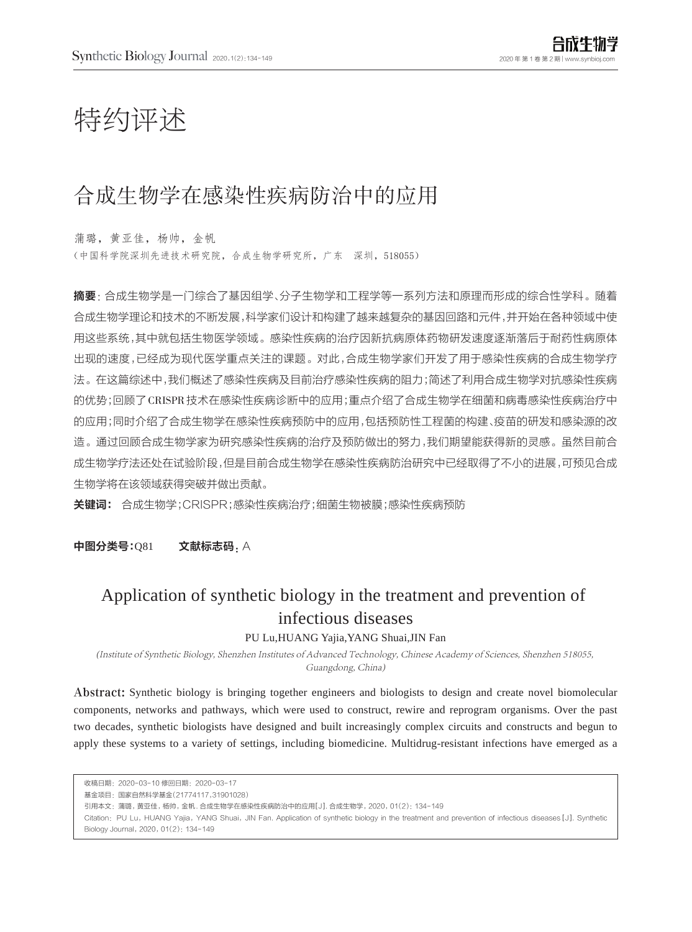# 特约评述

## 合成生物学在感染性疾病防治中的应用

蒲璐,黄亚佳,杨帅,金帆 (中国科学院深圳先进技术研究院,合成生物学研究所,广东 深圳,518055)

摘要:合成生物学是一门综合了基因组学、分子生物学和工程学等一系列方法和原理而形成的综合性学科。随着 合成生物学理论和技术的不断发展,科学家们设计和构建了越来越复杂的基因回路和元件,并开始在各种领域中使 用这些系统,其中就包括生物医学领域。感染性疾病的治疗因新抗病原体药物研发速度逐渐落后于耐药性病原体 出现的速度,已经成为现代医学重点关注的课题。对此,合成生物学家们开发了用于感染性疾病的合成生物学疗 法。在这篇综述中,我们概述了感染性疾病及目前治疗感染性疾病的阻力;简述了利用合成生物学对抗感染性疾病 的优势;回顾了CRISPR技术在感染性疾病诊断中的应用;重点介绍了合成生物学在细菌和病毒感染性疾病治疗中 的应用;同时介绍了合成生物学在感染性疾病预防中的应用,包括预防性工程菌的构建、疫苗的研发和感染源的改 造。通过回顾合成生物学家为研究感染性疾病的治疗及预防做出的努力,我们期望能获得新的灵感。虽然目前合 成生物学疗法还处在试验阶段,但是目前合成生物学在感染性疾病防治研究中已经取得了不小的进展,可预见合成 生物学将在该领域获得突破并做出贡献。

关键词: 合成生物学;CRISPR;感染性疾病治疗;细菌生物被膜;感染性疾病预防

中图分类号:081 文献标志码. A

## Application of synthetic biology in the treatment and prevention of infectious diseases

PU Lu,HUANG Yajia,YANG Shuai,JIN Fan

(Institute of Synthetic Biology, Shenzhen Institutes of Advanced Technology, Chinese Academy of Sciences, Shenzhen 518055, Guangdong, China)

Abstract: Synthetic biology is bringing together engineers and biologists to design and create novel biomolecular components, networks and pathways, which were used to construct, rewire and reprogram organisms. Over the past two decades, synthetic biologists have designed and built increasingly complex circuits and constructs and begun to apply these systems to a variety of settings, including biomedicine. Multidrug-resistant infections have emerged as a

收稿日期:2020-03-10 修回日期:2020-03-17 基金项目:国家自然科学基金(21774117,31901028) 引用本文:蒲璐,黄亚佳,杨帅,金帆. 合成生物学在感染性疾病防治中的应用[J]. 合成生物学,2020,01(2):134-149 Citation:PU Lu,HUANG Yajia,YANG Shuai,JIN Fan. Application of synthetic biology in the treatment and prevention of infectious diseases[J]. Synthetic Biology Journal, 2020, 01(2): 134-149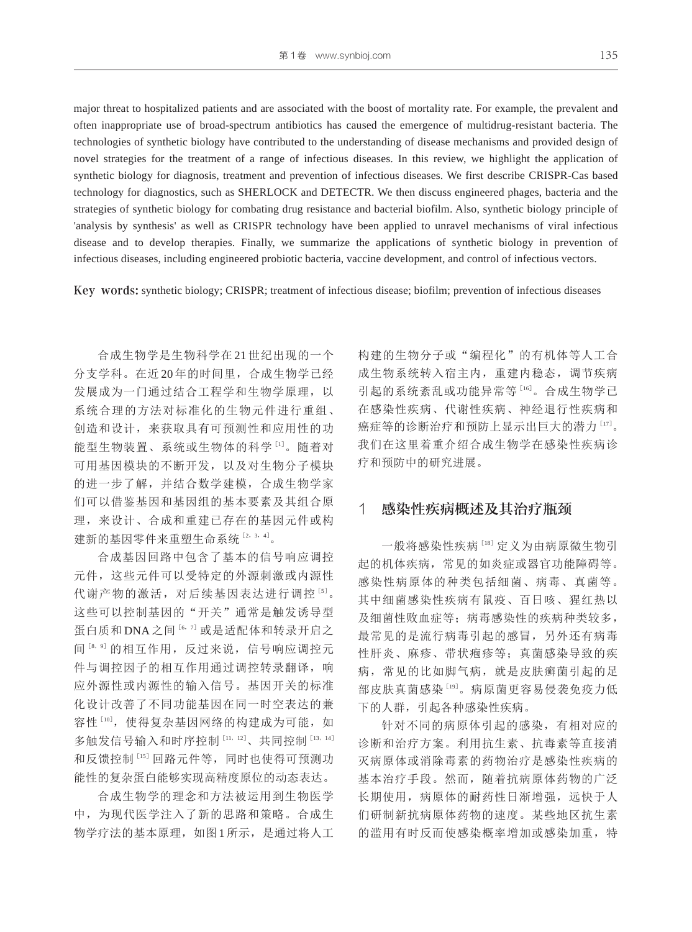major threat to hospitalized patients and are associated with the boost of mortality rate. For example, the prevalent and often inappropriate use of broad-spectrum antibiotics has caused the emergence of multidrug-resistant bacteria. The technologies of synthetic biology have contributed to the understanding of disease mechanisms and provided design of novel strategies for the treatment of a range of infectious diseases. In this review, we highlight the application of synthetic biology for diagnosis, treatment and prevention of infectious diseases. We first describe CRISPR-Cas based technology for diagnostics, such as SHERLOCK and DETECTR. We then discuss engineered phages, bacteria and the strategies of synthetic biology for combating drug resistance and bacterial biofilm. Also, synthetic biology principle of 'analysis by synthesis' as well as CRISPR technology have been applied to unravel mechanisms of viral infectious disease and to develop therapies. Finally, we summarize the applications of synthetic biology in prevention of infectious diseases, including engineered probiotic bacteria, vaccine development, and control of infectious vectors.

Key words: synthetic biology; CRISPR; treatment of infectious disease; biofilm; prevention of infectious diseases

合成生物学是生物科学在 21 世纪出现的一个 分支学科。在近 20 年的时间里,合成生物学已经 发展成为一门通过结合工程学和生物学原理,以 系统合理的方法对标准化的生物元件进行重组、 创造和设计,来获取具有可预测性和应用性的功 能型生物装置、系统或生物体的科学[1]。随着对 可用基因模块的不断开发,以及对生物分子模块 的进一步了解,并结合数学建模,合成生物学家 们可以借鉴基因和基因组的基本要素及其组合原 理,来设计、合成和重建已存在的基因元件或构 建新的基因零件来重塑生命系统 [2, 3, 4]。

合成基因回路中包含了基本的信号响应调控 元件,这些元件可以受特定的外源刺激或内源性 代谢产物的激活, 对后续基因表达进行调控 [5]。 这些可以控制基因的"开关"通常是触发诱导型 蛋白质和 DNA 之间 [6, 7] 或是适配体和转录开启之 间[8,9] 的相互作用,反过来说,信号响应调控元 件与调控因子的相互作用通过调控转录翻译,响 应外源性或内源性的输入信号。基因开关的标准 化设计改善了不同功能基因在同一时空表达的兼 容性[10], 使得复杂基因网络的构建成为可能, 如 多触发信号输入和时序控制 [11, 12]、共同控制 [13, 14] 和反馈控制<sup>[15]</sup>回路元件等,同时也使得可预测功 能性的复杂蛋白能够实现高精度原位的动态表达。

合成生物学的理念和方法被运用到生物医学 中,为现代医学注入了新的思路和策略。合成生 物学疗法的基本原理,如图1所示,是通过将人工 构建的生物分子或"编程化"的有机体等人工合 成生物系统转入宿主内,重建内稳态,调节疾病 引起的系统紊乱或功能异常等[16]。合成生物学已 在感染性疾病、代谢性疾病、神经退行性疾病和 癌症等的诊断治疗和预防上显示出巨大的潜力[17]。 我们在这里着重介绍合成生物学在感染性疾病诊 疗和预防中的研究进展。

#### 1 感染性疾病概述及其治疗瓶颈

一般将感染性疾病[18]定义为由病原微生物引 起的机体疾病,常见的如炎症或器官功能障碍等。 感染性病原体的种类包括细菌、病毒、真菌等。 其中细菌感染性疾病有鼠疫、百日咳、猩红热以 及细菌性败血症等;病毒感染性的疾病种类较多, 最常见的是流行病毒引起的感冒,另外还有病毒 性肝炎、麻疹、带状疱疹等;真菌感染导致的疾 病,常见的比如脚气病,就是皮肤癣菌引起的足 部皮肤真菌感染[19]。病原菌更容易侵袭免疫力低 下的人群,引起各种感染性疾病。

针对不同的病原体引起的感染,有相对应的 诊断和治疗方案。利用抗生素、抗毒素等直接消 灭病原体或消除毒素的药物治疗是感染性疾病的 基本治疗手段。然而,随着抗病原体药物的广泛 长期使用,病原体的耐药性日渐增强,远快于人 们研制新抗病原体药物的速度。某些地区抗生素 的滥用有时反而使感染概率增加或感染加重,特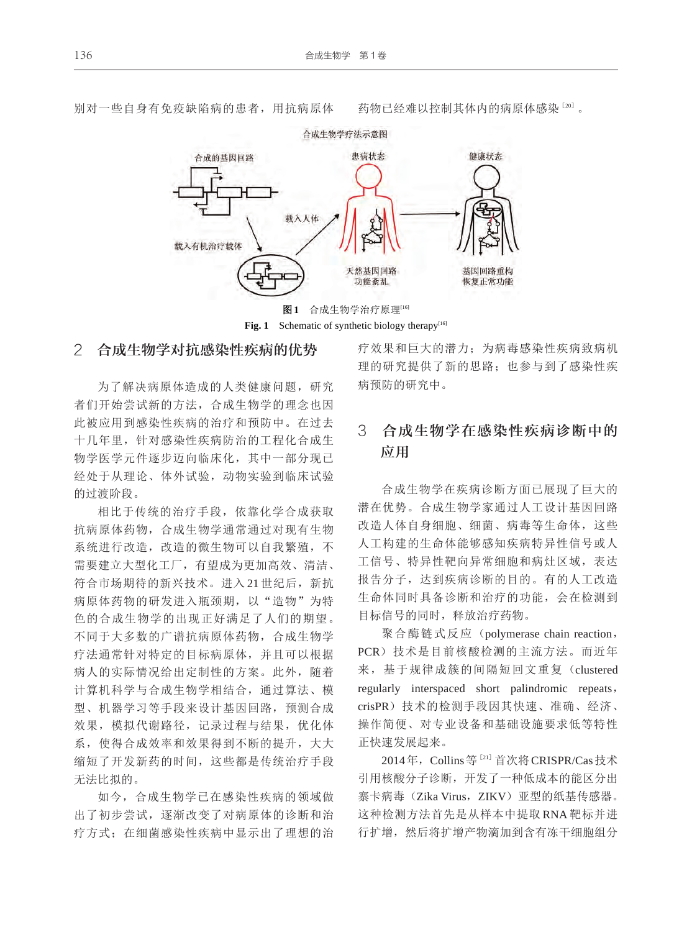

别对一些自身有免疫缺陷病的患者,用抗病原体 药物已经难以控制其体内的病原体感染[20]。

Fig. 1 Schematic of synthetic biology therapy<sup>[16]</sup>

#### 2 合成生物学对抗感染性疾病的优势

为了解决病原体造成的人类健康问题,研究 者们开始尝试新的方法,合成生物学的理念也因 此被应用到感染性疾病的治疗和预防中。在过去 十几年里,针对感染性疾病防治的工程化合成生 物学医学元件逐步迈向临床化,其中一部分现已 经处于从理论、体外试验,动物实验到临床试验 的过渡阶段。

相比于传统的治疗手段,依靠化学合成获取 抗病原体药物,合成生物学通常通过对现有生物 系统进行改造,改造的微生物可以自我繁殖,不 需要建立大型化工厂,有望成为更加高效、清洁、 符合市场期待的新兴技术。进入 21 世纪后,新抗 病原体药物的研发进入瓶颈期,以"造物"为特 色的合成生物学的出现正好满足了人们的期望。 不同于大多数的广谱抗病原体药物,合成生物学 疗法通常针对特定的目标病原体,并且可以根据 病人的实际情况给出定制性的方案。此外,随着 计算机科学与合成生物学相结合,通过算法、模 型、机器学习等手段来设计基因回路,预测合成 效果,模拟代谢路径,记录过程与结果,优化体 系,使得合成效率和效果得到不断的提升,大大 缩短了开发新药的时间,这些都是传统治疗手段 无法比拟的。

如今,合成生物学已在感染性疾病的领域做 出了初步尝试,逐渐改变了对病原体的诊断和治 疗方式;在细菌感染性疾病中显示出了理想的治 疗效果和巨大的潜力;为病毒感染性疾病致病机 理的研究提供了新的思路;也参与到了感染性疾 病预防的研究中。

## 3 合成生物学在感染性疾病诊断中的 应用

合成生物学在疾病诊断方面已展现了巨大的 潜在优势。合成生物学家通过人工设计基因回路 改造人体自身细胞、细菌、病毒等生命体,这些 人工构建的生命体能够感知疾病特异性信号或人 工信号、特异性靶向异常细胞和病灶区域,表达 报告分子,达到疾病诊断的目的。有的人工改造 生命体同时具备诊断和治疗的功能,会在检测到 目标信号的同时,释放治疗药物。

聚合酶链式反应 (polymerase chain reaction, PCR)技术是目前核酸检测的主流方法。而近年 来,基于规律成簇的间隔短回文重复(clustered regularly interspaced short palindromic repeats, crisPR)技术的检测手段因其快速、准确、经济、 操作简便、对专业设备和基础设施要求低等特性 正快速发展起来。

2014年,Collins等[21]首次将CRISPR/Cas技术 引用核酸分子诊断,开发了一种低成本的能区分出 寨卡病毒(Zika Virus, ZIKV)亚型的纸基传感器。 这种检测方法首先是从样本中提取 RNA 靶标并进 行扩增,然后将扩增产物滴加到含有冻干细胞组分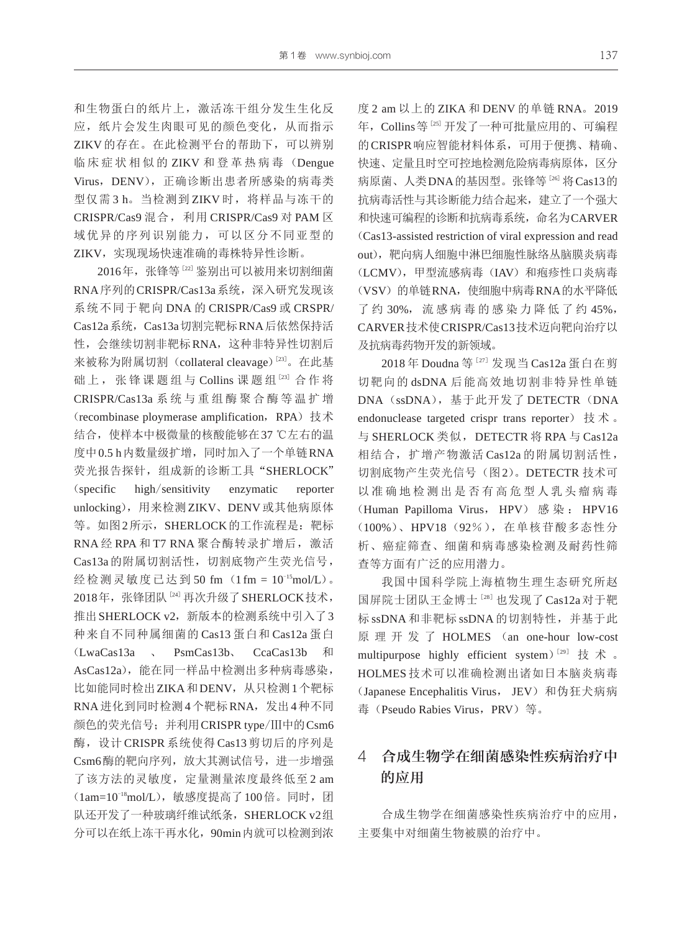和生物蛋白的纸片上,激活冻干组分发生生化反 应,纸片会发生肉眼可见的颜色变化,从而指示 ZIKV的存在。在此检测平台的帮助下,可以辨别 临 床 症 状 相 似 的 ZIKV 和 登 革 热 病 毒 (Dengue Virus, DENV), 正确诊断出患者所感染的病毒类 型仅需3h。当检测到ZIKV时, 将样品与冻干的 CRISPR/Cas9 混合,利用 CRISPR/Cas9 对 PAM 区 域优异的序列识别能力,可以区分不同亚型的 ZIKV,实现现场快速准确的毒株特异性诊断。

2016年, 张锋等[22] 鉴别出可以被用来切割细菌 RNA序列的CRISPR/Cas13a系统,深入研究发现该 系统不同于靶向 DNA 的 CRISPR/Cas9 或 CRSPR/ Cas12a系统,Cas13a切割完靶标RNA后依然保持活 性,会继续切割非靶标RNA,这种非特异性切割后 来被称为附属切割 (collateral cleavage)<sup>[23]</sup>。在此基 础上, 张锋课题组与 Collins 课题组 [23] 合作将 CRISPR/Cas13a 系 统 与 重 组 酶 聚 合 酶 等 温 扩 增 (recombinase ploymerase amplification, RPA)技术 结合,使样本中极微量的核酸能够在37 ℃左右的温 度中0.5 h内数量级扩增,同时加入了一个单链RNA 荧光报告探针,组成新的诊断工具"SHERLOCK" (specific high/sensitivity enzymatic reporter unlocking),用来检测ZIKV、DENV或其他病原体 等。如图2所示, SHERLOCK的工作流程是: 靶标 RNA 经 RPA 和 T7 RNA 聚合酶转录扩增后, 激活 Cas13a的附属切割活性,切割底物产生荧光信号, 经检测灵敏度已达到 50 fm (1 fm = 10<sup>-15</sup>mol/L)。 2018年, 张锋团队<sup>[24]</sup> 再次升级了 SHERLOCK 技术, 推出SHERLOCK v2,新版本的检测系统中引入了3 种来自不同种属细菌的 Cas13 蛋白和 Cas12a 蛋白 (LwaCas13a 、 PsmCas13b、 CcaCas13b 和 AsCas12a), 能在同一样品中检测出多种病毒感染, 比如能同时检出ZIKA和DENV,从只检测1个靶标 RNA进化到同时检测4个靶标RNA,发出4种不同 颜色的荧光信号;并利用CRISPR type/Ⅲ中的Csm6 酶,设计 CRISPR 系统使得 Cas13 剪切后的序列是 Csm6酶的靶向序列,放大其测试信号,进一步增强 了该方法的灵敏度,定量测量浓度最终低至 2 am (1am=10<sup>-18</sup>mol/L), 敏感度提高了100倍。同时, 团 队还开发了一种玻璃纤维试纸条, SHERLOCK v2组 分可以在纸上冻干再水化,90min内就可以检测到浓 度 2 am 以上的 ZIKA 和 DENV 的单链 RNA。2019 年,Collins等[25]开发了一种可批量应用的、可编程 的CRISPR响应智能材料体系,可用于便携、精确、 快速、定量且时空可控地检测危险病毒病原体,区分 病原菌、人类DNA的基因型。张锋等[26] 将Cas13的 抗病毒活性与其诊断能力结合起来,建立了一个强大 和快速可编程的诊断和抗病毒系统,命名为CARVER (Cas13-assisted restriction of viral expression and read out),靶向病人细胞中淋巴细胞性脉络丛脑膜炎病毒 (LCMV), 甲型流感病毒 (IAV) 和疱疹性口炎病毒 (VSV) 的单链RNA, 使细胞中病毒RNA的水平降低 了 约 30%, 流 感 病 毒 的 感 染 力 降 低 了 约 45%, CARVER技术使CRISPR/Cas13技术迈向靶向治疗以 及抗病毒药物开发的新领域。

2018 年 Doudna 等[27] 发现当 Cas12a 蛋白在剪 切靶向的 dsDNA 后能高效地切割非特异性单链 DNA (ssDNA), 基于此开发了 DETECTR (DNA endonuclease targeted crispr trans reporter) 技术。 与 SHERLOCK 类似, DETECTR 将 RPA 与 Cas12a 相结合,扩增产物激活 Cas12a 的附属切割活性, 切割底物产生荧光信号(图2)。DETECTR 技术可 以准确地检测出是否有高危型人乳头瘤病毒 (Human Papilloma Virus, HPV) 感染: HPV16 (100%)、HPV18(92%),在单核苷酸多态性分 析、癌症筛查、细菌和病毒感染检测及耐药性筛 查等方面有广泛的应用潜力。

我国中国科学院上海植物生理生态研究所赵 国屏院士团队王金博士<sup>[28]</sup>也发现了Cas12a对于靶 标 ssDNA 和非靶标 ssDNA 的切割特性,并基于此 原 理 开 发 了 HOLMES (an one-hour low-cost multipurpose highly efficient system)<sup>[29]</sup> 技 术 。 HOLMES 技术可以准确检测出诸如日本脑炎病毒 (Japanese Encephalitis Virus, JEV)和伪狂犬病病 毒 (Pseudo Rabies Virus, PRV)等。

### 4 合成生物学在细菌感染性疾病治疗中 的应用

合成生物学在细菌感染性疾病治疗中的应用, 主要集中对细菌生物被膜的治疗中。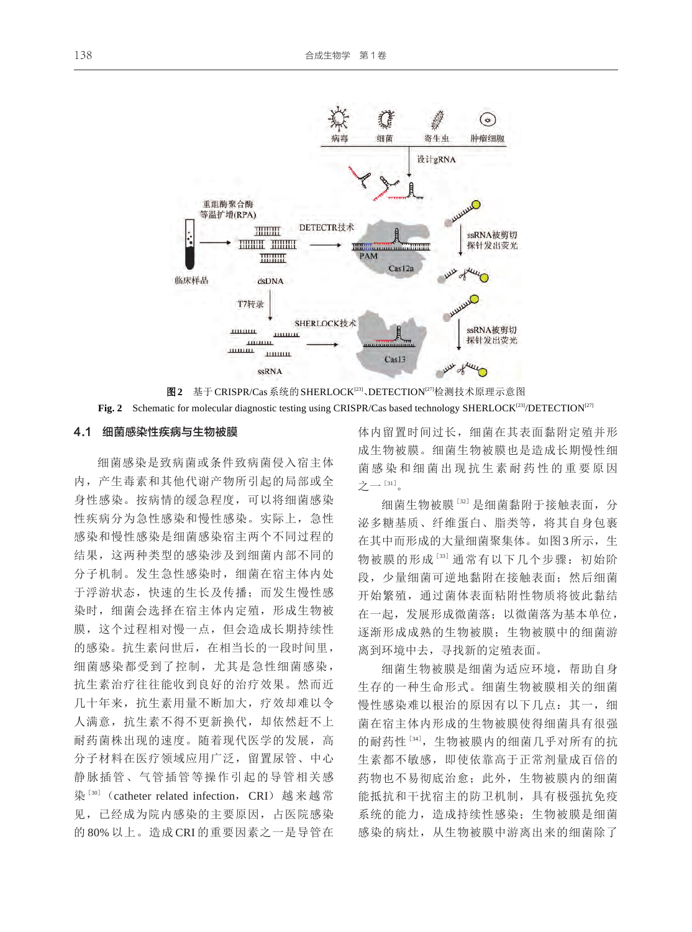



#### 4.1 细菌感染性疾病与生物被膜

细菌感染是致病菌或条件致病菌侵入宿主体 内,产生毒素和其他代谢产物所引起的局部或全 身性感染。按病情的缓急程度,可以将细菌感染 性疾病分为急性感染和慢性感染。实际上,急性 感染和慢性感染是细菌感染宿主两个不同过程的 结果,这两种类型的感染涉及到细菌内部不同的 分子机制。发生急性感染时,细菌在宿主体内处 于浮游状态,快速的生长及传播;而发生慢性感 染时,细菌会选择在宿主体内定殖,形成生物被 膜,这个过程相对慢一点,但会造成长期持续性 的感染。抗生素问世后,在相当长的一段时间里, 细菌感染都受到了控制,尤其是急性细菌感染, 抗生素治疗往往能收到良好的治疗效果。然而近 几十年来,抗生素用量不断加大,疗效却难以令 人满意,抗生素不得不更新换代,却依然赶不上 耐药菌株出现的速度。随着现代医学的发展,高 分子材料在医疗领域应用广泛,留置尿管、中心 静脉插管、气管插管等操作引起的导管相关感 染<sup>[30]</sup> (catheter related infection, CRI) 越来越常 见,已经成为院内感染的主要原因,占医院感染 的 80% 以上。造成 CRI 的重要因素之一是导管在 体内留置时间过长,细菌在其表面黏附定殖并形 成生物被膜。细菌生物被膜也是造成长期慢性细 菌感染和细菌出现抗生素耐药性的重要原因 之一 $^{\left[ 31\right] }$ 。

细菌生物被膜<sup>[32]</sup>是细菌黏附于接触表面,分 泌多糖基质、纤维蛋白、脂类等,将其自身包裹 在其中而形成的大量细菌聚集体。如图3所示,生 物被膜的形成[33] 通常有以下几个步骤:初始阶 段, 少量细菌可逆地黏附在接触表面; 然后细菌 开始繁殖,通过菌体表面粘附性物质将彼此黏结 在一起,发展形成微菌落;以微菌落为基本单位, 逐渐形成成熟的生物被膜;生物被膜中的细菌游 离到环境中去,寻找新的定殖表面。

细菌生物被膜是细菌为适应环境,帮助自身 生存的一种生命形式。细菌生物被膜相关的细菌 慢性感染难以根治的原因有以下几点: 其一, 细 菌在宿主体内形成的生物被膜使得细菌具有很强 的耐药性<sup>[34]</sup>, 生物被膜内的细菌几乎对所有的抗 生素都不敏感,即使依靠高于正常剂量成百倍的 药物也不易彻底治愈;此外,生物被膜内的细菌 能抵抗和干扰宿主的防卫机制,具有极强抗免疫 系统的能力,造成持续性感染;生物被膜是细菌 感染的病灶,从生物被膜中游离出来的细菌除了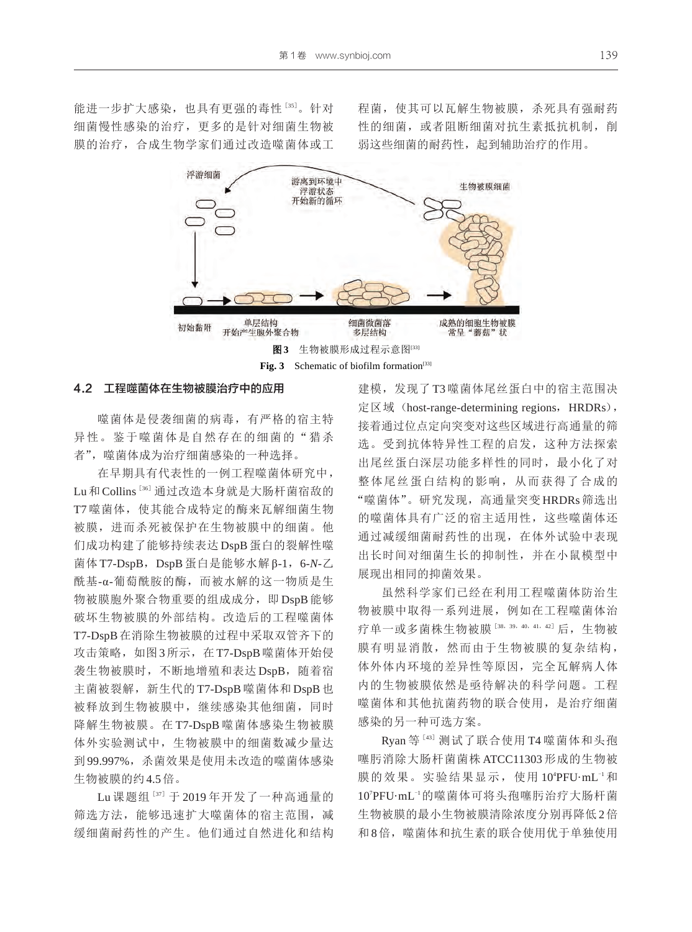能进一步扩大感染, 也具有更强的毒性 [35]。针对 细菌慢性感染的治疗,更多的是针对细菌生物被 膜的治疗,合成生物学家们通过改造噬菌体或工 程菌,使其可以瓦解生物被膜,杀死具有强耐药 性的细菌,或者阻断细菌对抗生素抵抗机制,削 弱这些细菌的耐药性,起到辅助治疗的作用。



Fig. 3 Schematic of biofilm formation<sup>[33]</sup>

#### 4.2 工程噬菌体在生物被膜治疗中的应用

噬菌体是侵袭细菌的病毒,有严格的宿主特 异性。鉴于噬菌体是自然存在的细菌的"猎杀 者",噬菌体成为治疗细菌感染的一种选择。

在早期具有代表性的一例工程噬菌体研究中, Lu和Collins<sup>[36]</sup>通过改造本身就是大肠杆菌宿敌的 T7 噬菌体,使其能合成特定的酶来瓦解细菌生物 被膜,进而杀死被保护在生物被膜中的细菌。他 们成功构建了能够持续表达 DspB蛋白的裂解性噬 菌体 T7-DspB,DspB 蛋白是能够水解 β-1,6-*N*-乙 酰基-α-葡萄酰胺的酶,而被水解的这一物质是生 物被膜胞外聚合物重要的组成成分,即 DspB能够 破坏生物被膜的外部结构。改造后的工程噬菌体 T7-DspB在消除生物被膜的过程中采取双管齐下的 攻击策略,如图3所示,在T7-DspB噬菌体开始侵 袭生物被膜时,不断地增殖和表达 DspB, 随着宿 主菌被裂解,新生代的 T7-DspB 噬菌体和 DspB 也 被释放到生物被膜中,继续感染其他细菌,同时 降解生物被膜。在 T7-DspB 噬菌体感染生物被膜 体外实验测试中,生物被膜中的细菌数减少量达 到99.997%,杀菌效果是使用未改造的噬菌体感染 生物被膜的约4.5倍。

Lu 课题组<sup>[37]</sup> 于 2019年开发了一种高通量的 筛选方法,能够迅速扩大噬菌体的宿主范围,减 缓细菌耐药性的产生。他们通过自然进化和结构 建模,发现了 T3 噬菌体尾丝蛋白中的宿主范围决 定区域 (host-range-determining regions, HRDRs), 接着通过位点定向突变对这些区域进行高通量的筛 选。受到抗体特异性工程的启发,这种方法探索 出尾丝蛋白深层功能多样性的同时,最小化了对 整体尾丝蛋白结构的影响,从而获得了合成的 "噬菌体"。研究发现,高通量突变 HRDRs筛选出 的噬菌体具有广泛的宿主适用性,这些噬菌体还 通过减缓细菌耐药性的出现,在体外试验中表现 出长时间对细菌生长的抑制性,并在小鼠模型中 展现出相同的抑菌效果。

虽然科学家们已经在利用工程噬菌体防治生 物被膜中取得一系列进展,例如在工程噬菌体治 疗单一或多菌株生物被膜[38, 39, 40, 41, 42] 后, 生物被 膜有明显消散,然而由于生物被膜的复杂结构, 体外体内环境的差异性等原因,完全瓦解病人体 内的生物被膜依然是亟待解决的科学问题。工程 噬菌体和其他抗菌药物的联合使用,是治疗细菌 感染的另一种可选方案。

Ryan 等<sup>[43]</sup> 测试了联合使用 T4 噬菌体和头孢 噻肟消除大肠杆菌菌株 ATCC11303 形成的生物被 膜的效果。实验结果显示, 使用 10<sup>4</sup>PFU·mL<sup>-1</sup>和 107 PFU·mL-<sup>1</sup> 的噬菌体可将头孢噻肟治疗大肠杆菌 生物被膜的最小生物被膜清除浓度分别再降低2倍 和8倍,噬菌体和抗生素的联合使用优于单独使用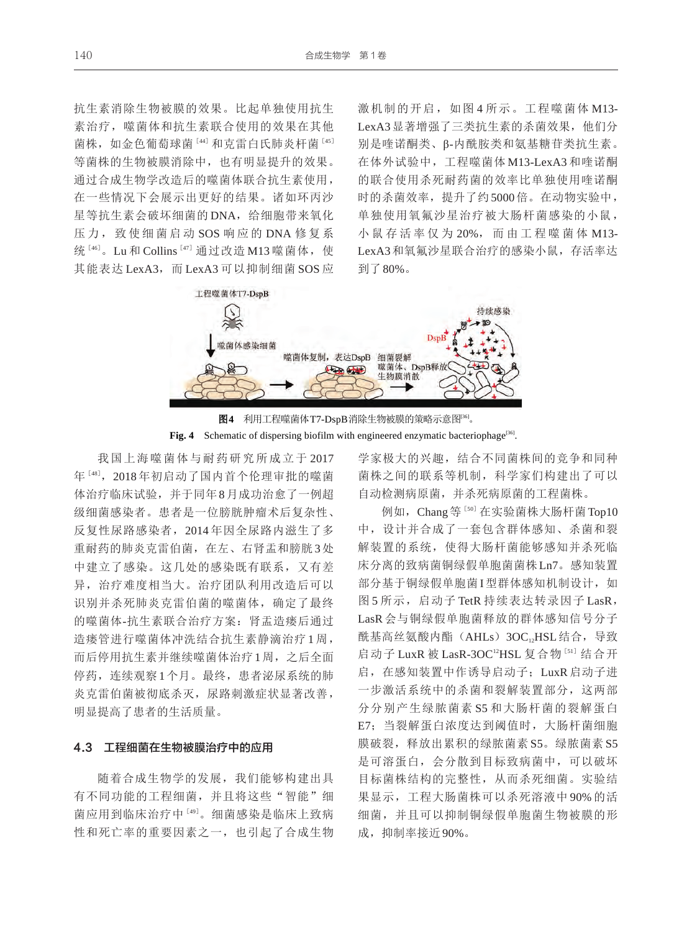抗生素消除生物被膜的效果。比起单独使用抗生 素治疗, 噬菌体和抗生素联合使用的效果在其他 菌株,如金色葡萄球菌[44]和克雷白氏肺炎杆菌 [45] 等菌株的生物被膜消除中,也有明显提升的效果。 通过合成生物学改造后的噬菌体联合抗生素使用, 在一些情况下会展示出更好的结果。诸如环丙沙 星等抗生素会破坏细菌的 DNA, 给细胞带来氧化 压力, 致使细菌启动 SOS 响应的 DNA 修复系 统<sup>[46]</sup>。Lu 和 Collins<sup>[47]</sup> 通过改造 M13 噬菌体, 使 其能表达 LexA3, 而 LexA3 可以抑制细菌 SOS 应 激机制的开启, 如图 4 所示。工程噬菌体 M13-LexA3显著增强了三类抗生素的杀菌效果,他们分 别是喹诺酮类、β-内酰胺类和氨基糖苷类抗生素。 在体外试验中,工程噬菌体 M13-LexA3 和喹诺酮 的联合使用杀死耐药菌的效率比单独使用喹诺酮 时的杀菌效率,提升了约5000倍。在动物实验中, 单独使用氧氟沙星治疗被大肠杆菌感染的小鼠, 小 鼠 存 活 率 仅 为 20%, 而 由 工 程 噬 菌 体 M13- LexA3和氧氟沙星联合治疗的感染小鼠,存活率达 到了80%。



图4 利用工程噬菌体T7-DspB消除生物被膜的策略示意图<sup>36]</sup>。 Fig. 4 Schematic of dispersing biofilm with engineered enzymatic bacteriophage<sup>[36]</sup>.

我国上海噬菌体与耐药研究所成立于 2017 年[48] ,2018 年初启动了国内首个伦理审批的噬菌 体治疗临床试验,并于同年8月成功治愈了一例超 级细菌感染者。患者是一位膀胱肿瘤术后复杂性、 反复性尿路感染者,2014 年因全尿路内滋生了多 重耐药的肺炎克雷伯菌,在左、右肾盂和膀胱3处 中建立了感染。这几处的感染既有联系,又有差 异,治疗难度相当大。治疗团队利用改造后可以 识别并杀死肺炎克雷伯菌的噬菌体,确定了最终 的噬菌体-抗生素联合治疗方案:肾盂造瘘后通过 造瘘管进行噬菌体冲洗结合抗生素静滴治疗 1 周, 而后停用抗生素并继续噬菌体治疗1周,之后全面 停药,连续观察1个月。最终,患者泌尿系统的肺 炎克雷伯菌被彻底杀灭,尿路刺激症状显著改善, 明显提高了患者的生活质量。

#### 4.3 工程细菌在生物被膜治疗中的应用

随着合成生物学的发展,我们能够构建出具 有不同功能的工程细菌,并且将这些"智能"细 菌应用到临床治疗中 [49]。细菌感染是临床上致病 性和死亡率的重要因素之一,也引起了合成生物 学家极大的兴趣,结合不同菌株间的竞争和同种 菌株之间的联系等机制,科学家们构建出了可以 自动检测病原菌,并杀死病原菌的工程菌株。

例如, Chang等[50] 在实验菌株大肠杆菌Top10 中,设计并合成了一套包含群体感知、杀菌和裂 解装置的系统,使得大肠杆菌能够感知并杀死临 床分离的致病菌铜绿假单胞菌菌株Ln7。感知装置 部分基于铜绿假单胞菌I型群体感知机制设计,如 图 5 所示, 启动子 TetR 持续表达转录因子 LasR, LasR 会与铜绿假单胞菌释放的群体感知信号分子 酰基高丝氨酸内酯(AHLs) 3OC,HSL结合, 导致 启动子 LuxR 被 LasR-3OC<sup>12</sup>HSL 复合物<sup>[51]</sup> 结合开 启,在感知装置中作诱导启动子;LuxR 启动子进 一步激活系统中的杀菌和裂解装置部分,这两部 分分别产生绿脓菌素 S5 和大肠杆菌的裂解蛋白 E7;当裂解蛋白浓度达到阈值时,大肠杆菌细胞 膜破裂,释放出累积的绿脓菌素 S5。绿脓菌素 S5 是可溶蛋白,会分散到目标致病菌中,可以破坏 目标菌株结构的完整性,从而杀死细菌。实验结 果显示,工程大肠菌株可以杀死溶液中 90% 的活 细菌,并且可以抑制铜绿假单胞菌生物被膜的形 成,抑制率接近90%。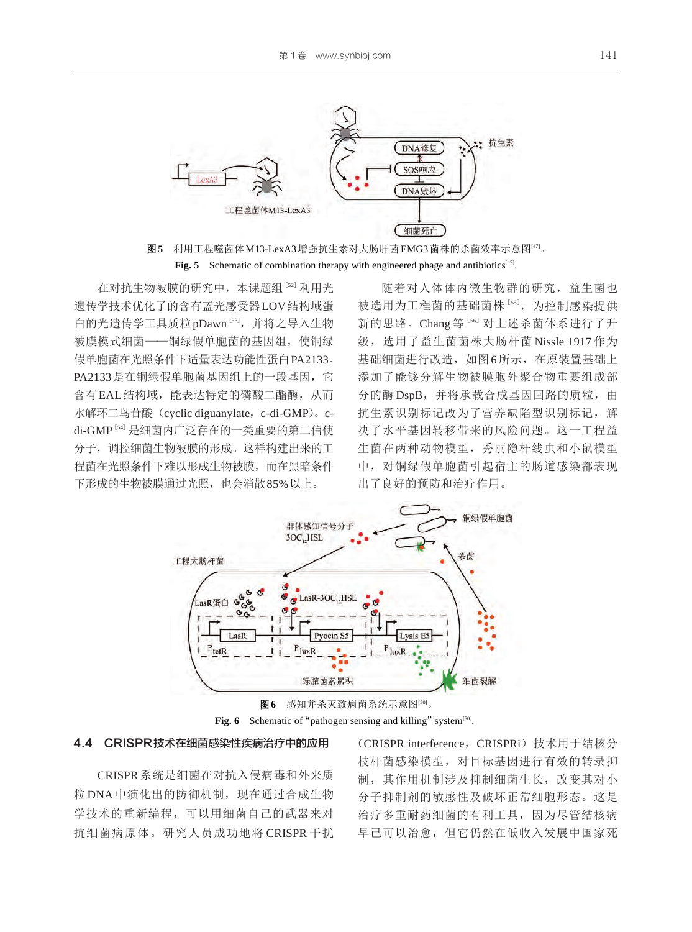



在对抗生物被膜的研究中,本课题组[52] 利用光 遗传学技术优化了的含有蓝光感受器LOV结构域蛋 白的光遗传学工具质粒 pDawn [53], 并将之导入生物 被膜模式细菌——铜绿假单胞菌的基因组,使铜绿 假单胞菌在光照条件下适量表达功能性蛋白PA2133。 PA2133是在铜绿假单胞菌基因组上的一段基因,它 含有EAL结构域,能表达特定的磷酸二酯酶,从而 水解环二鸟苷酸 (cyclic diguanylate, c-di-GMP)。cdi-GMP<sup>[54]</sup> 是细菌内广泛存在的一类重要的第二信使 分子,调控细菌生物被膜的形成。这样构建出来的工 程菌在光照条件下难以形成生物被膜,而在黑暗条件 下形成的生物被膜通过光照,也会消散85%以上。

随着对人体体内微生物群的研究,益生菌也 被选用为工程菌的基础菌株[55], 为控制感染提供 新的思路。Chang 等<sup>[56]</sup> 对上述杀菌体系进行了升 级,选用了益生菌菌株大肠杆菌 Nissle 1917 作为 基础细菌进行改造,如图6所示,在原装置基础上 添加了能够分解生物被膜胞外聚合物重要组成部 分的酶 DspB, 并将承载合成基因回路的质粒, 由 抗生素识别标记改为了营养缺陷型识别标记,解 决了水平基因转移带来的风险问题。这一工程益 生菌在两种动物模型,秀丽隐杆线虫和小鼠模型 中,对铜绿假单胞菌引起宿主的肠道感染都表现 出了良好的预防和治疗作用。





#### 4.4 CRISPR技术在细菌感染性疾病治疗中的应用

CRISPR系统是细菌在对抗入侵病毒和外来质 粒 DNA 中演化出的防御机制,现在通过合成生物 学技术的重新编程,可以用细菌自己的武器来对 抗细菌病原体。研究人员成功地将 CRISPR 干扰 (CRISPR interference, CRISPRi)技术用于结核分 枝杆菌感染模型,对目标基因进行有效的转录抑 制,其作用机制涉及抑制细菌生长,改变其对小 分子抑制剂的敏感性及破坏正常细胞形态。这是 治疗多重耐药细菌的有利工具,因为尽管结核病 早已可以治愈,但它仍然在低收入发展中国家死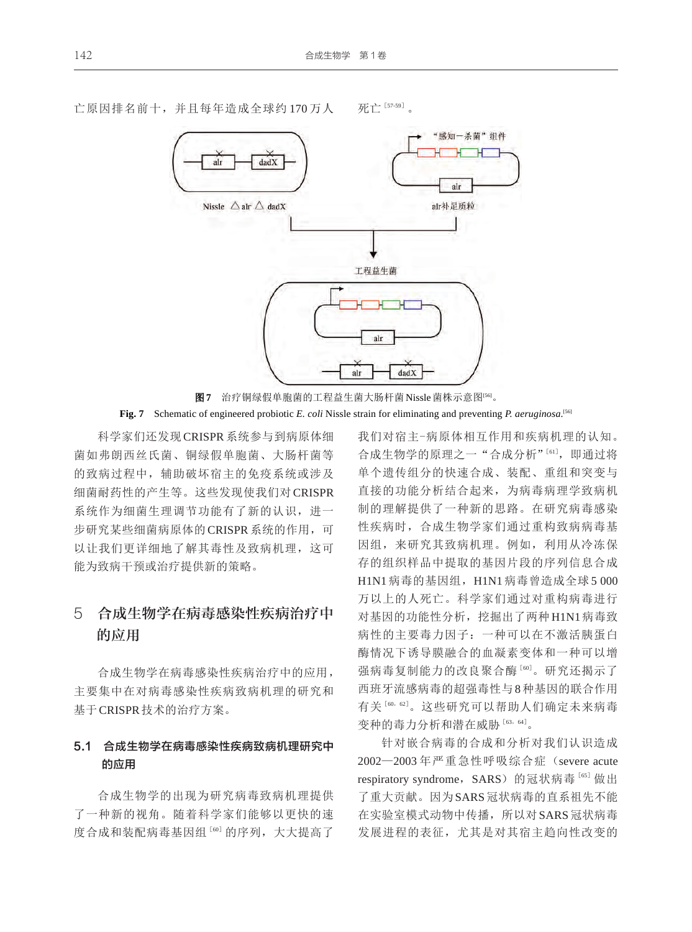

亡原因排名前十,并且每年造成全球约 170 万人 死亡[57-59]。



科学家们还发现CRISPR系统参与到病原体细 菌如弗朗西丝氏菌、铜绿假单胞菌、大肠杆菌等 的致病过程中,辅助破坏宿主的免疫系统或涉及 细菌耐药性的产生等。这些发现使我们对 CRISPR 系统作为细菌生理调节功能有了新的认识,进一 步研究某些细菌病原体的CRISPR系统的作用,可 以让我们更详细地了解其毒性及致病机理,这可 能为致病干预或治疗提供新的策略。

## 5 合成生物学在病毒感染性疾病治疗中 的应用

合成生物学在病毒感染性疾病治疗中的应用, 主要集中在对病毒感染性疾病致病机理的研究和 基于CRISPR技术的治疗方案。

### 5.1 合成生物学在病毒感染性疾病致病机理研究中 的应用

合成生物学的出现为研究病毒致病机理提供 了一种新的视角。随着科学家们能够以更快的速 度合成和装配病毒基因组[60]的序列,大大提高了

我们对宿主-病原体相互作用和疾病机理的认知。 合成生物学的原理之一"合成分析"[61] ,即通过将 单个遗传组分的快速合成、装配、重组和突变与 直接的功能分析结合起来,为病毒病理学致病机 制的理解提供了一种新的思路。在研究病毒感染 性疾病时,合成生物学家们通过重构致病病毒基 因组,来研究其致病机理。例如,利用从冷冻保 存的组织样品中提取的基因片段的序列信息合成 H1N1 病毒的基因组, H1N1 病毒曾造成全球 5 000 万以上的人死亡。科学家们通过对重构病毒进行 对基因的功能性分析,挖掘出了两种H1N1病毒致 病性的主要毒力因子:一种可以在不激活胰蛋白 酶情况下诱导膜融合的血凝素变体和一种可以增 强病毒复制能力的改良聚合酶[60]。研究还揭示了 西班牙流感病毒的超强毒性与8种基因的联合作用 有关[60,62] 。这些研究可以帮助人们确定未来病毒 变种的毒力分析和潜在威胁 [63, 64]。

针对嵌合病毒的合成和分析对我们认识造成 2002—2003 年严重急性呼吸综合症(severe acute respiratory syndrome, SARS) 的冠状病毒[65] 做出 了重大贡献。因为SARS冠状病毒的直系祖先不能 在实验室模式动物中传播, 所以对 SARS 冠状病毒 发展进程的表征,尤其是对其宿主趋向性改变的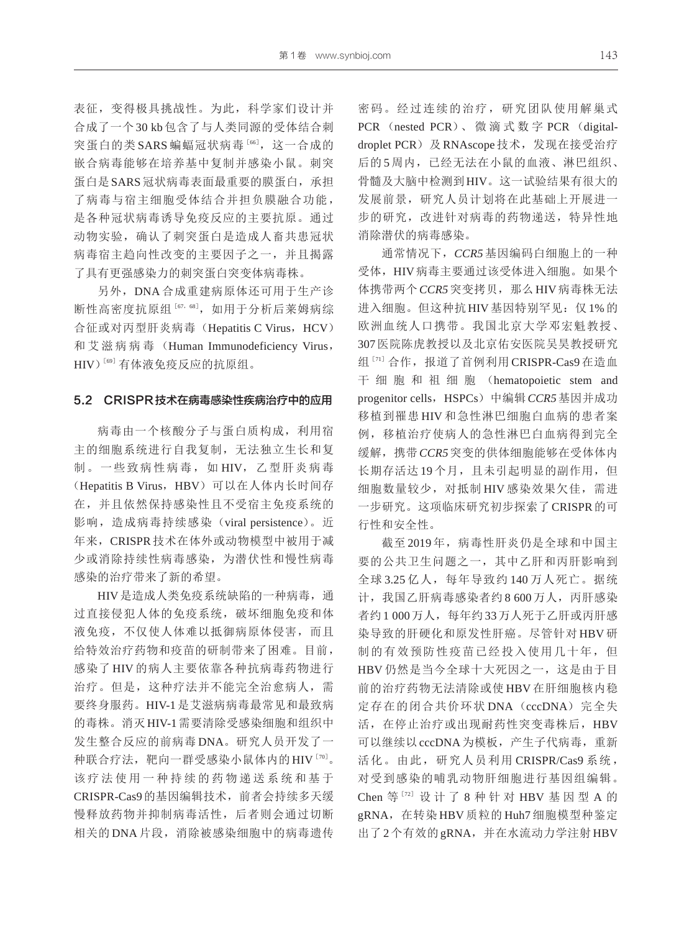表征,变得极具挑战性。为此,科学家们设计并 合成了一个 30 kb 包含了与人类同源的受体结合刺 突蛋白的类 SARS 蝙蝠冠状病毒 [66], 这一合成的 嵌合病毒能够在培养基中复制并感染小鼠。刺突 蛋白是SARS冠状病毒表面最重要的膜蛋白,承担 了病毒与宿主细胞受体结合并担负膜融合功能, 是各种冠状病毒诱导免疫反应的主要抗原。通过 动物实验,确认了刺突蛋白是造成人畜共患冠状 病毒宿主趋向性改变的主要因子之一,并且揭露 了具有更强感染力的刺突蛋白突变体病毒株。

另外, DNA 合成重建病原体还可用于生产诊 断性高密度抗原组 [67, 68], 如用于分析后莱姆病综 合征或对丙型肝炎病毒(Hepatitis C Virus, HCV) 和 艾 滋 病 病 毒 (Human Immunodeficiency Virus, HIV<sup>)[69]</sup>有体液免疫反应的抗原组。

#### 5.2 CRISPR技术在病毒感染性疾病治疗中的应用

病毒由一个核酸分子与蛋白质构成,利用宿 主的细胞系统进行自我复制,无法独立生长和复 制。一些致病性病毒,如 HIV,乙型肝炎病毒 (Hepatitis B Virus, HBV) 可以在人体内长时间存 在,并且依然保持感染性且不受宿主免疫系统的 影响,造成病毒持续感染(viral persistence)。近 年来,CRISPR技术在体外或动物模型中被用于减 少或消除持续性病毒感染,为潜伏性和慢性病毒 感染的治疗带来了新的希望。

HIV是造成人类免疫系统缺陷的一种病毒,通 过直接侵犯人体的免疫系统,破坏细胞免疫和体 液免疫,不仅使人体难以抵御病原体侵害,而且 给特效治疗药物和疫苗的研制带来了困难。目前, 感染了 HIV 的病人主要依靠各种抗病毒药物进行 治疗。但是,这种疗法并不能完全治愈病人,需 要终身服药。HIV-1是艾滋病病毒最常见和最致病 的毒株。消灭HIV-1需要清除受感染细胞和组织中 发生整合反应的前病毒 DNA。研究人员开发了一 种联合疗法,靶向一群受感染小鼠体内的HIV [70]。 该疗法使用一种持续的药物递送系统和基于 CRISPR-Cas9的基因编辑技术,前者会持续多天缓 慢释放药物并抑制病毒活性,后者则会通过切断 相关的 DNA 片段,消除被感染细胞中的病毒遗传

密码。经过连续的治疗,研究团队使用解巢式 PCR (nested PCR)、 微 滴 式 数 字 PCR (digitaldroplet PCR)及 RNAscope 技术, 发现在接受治疗 后的5周内,已经无法在小鼠的血液、淋巴组织、 骨髓及大脑中检测到HIV。这一试验结果有很大的 发展前景,研究人员计划将在此基础上开展进一 步的研究,改进针对病毒的药物递送,特异性地 消除潜伏的病毒感染。

通常情况下,*CCR5*基因编码白细胞上的一种 受体, HIV病毒主要通过该受体进入细胞。如果个 体携带两个 CCR5 突变拷贝, 那么 HIV 病毒株无法 进入细胞。但这种抗HIV基因特别罕见: 仅1%的 欧洲血统人口携带。我国北京大学邓宏魁教授、 307医院陈虎教授以及北京佑安医院吴昊教授研究 组<sup>[71]</sup> 合作, 报道了首例利用 CRISPR-Cas9 在造血 干 细 胞 和 祖 细 胞 (hematopoietic stem and progenitor cells, HSPCs)中编辑 CCR5 基因并成功 移植到罹患 HIV 和急性淋巴细胞白血病的患者案 例,移植治疗使病人的急性淋巴白血病得到完全 缓解,携带*CCR5*突变的供体细胞能够在受体体内 长期存活达19个月,且未引起明显的副作用,但 细胞数量较少,对抵制 HIV 感染效果欠佳,需进 一步研究。这项临床研究初步探索了CRISPR的可 行性和安全性。

截至 2019年,病毒性肝炎仍是全球和中国主 要的公共卫生问题之一,其中乙肝和丙肝影响到 全球 3.25 亿人,每年导致约 140 万人死亡。据统 计,我国乙肝病毒感染者约 8 600万人, 丙肝感染 者约1 000万人,每年约33万人死于乙肝或丙肝感 染导致的肝硬化和原发性肝癌。尽管针对 HBV 研 制的有效预防性疫苗已经投入使用几十年,但 HBV 仍然是当今全球十大死因之一, 这是由于目 前的治疗药物无法清除或使 HBV 在肝细胞核内稳 定存在的闭合共价环状 DNA (cccDNA)完全失 活,在停止治疗或出现耐药性突变毒株后,HBV 可以继续以cccDNA为模板,产生子代病毒,重新 活化。由此,研究人员利用 CRISPR/Cas9 系统 , 对受到感染的哺乳动物肝细胞进行基因组编辑。 Chen 等[72] 设 计 了 8 种 针 对 HBV 基 因 型 A 的 gRNA,在转染 HBV 质粒的 Huh7 细胞模型种鉴定 出了2个有效的gRNA,并在水流动力学注射HBV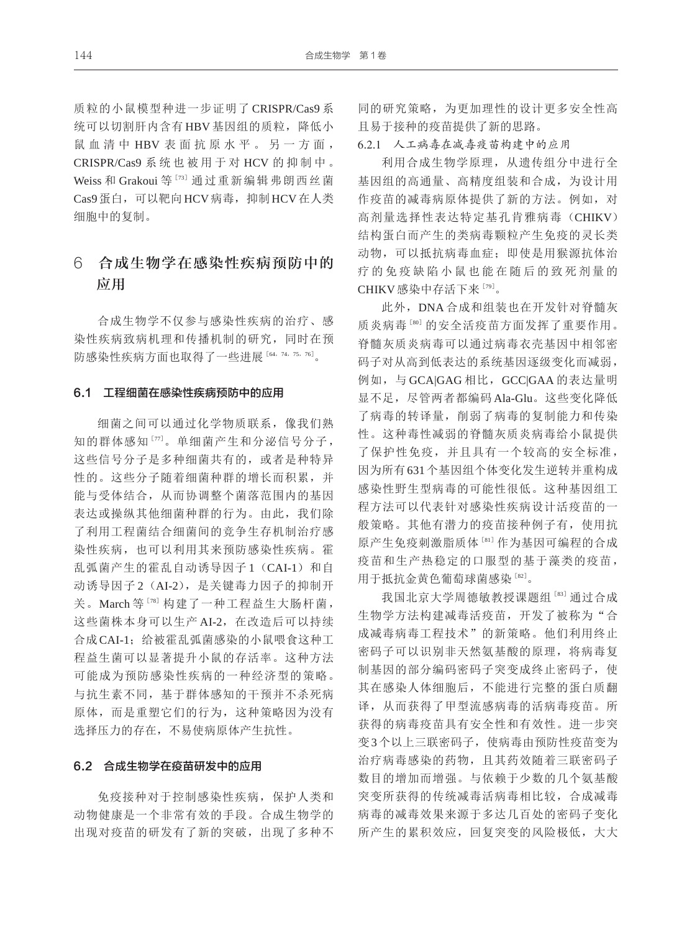质粒的小鼠模型种进一步证明了 CRISPR/Cas9 系 统可以切割肝内含有HBV 基因组的质粒,降低小 鼠 血 清 中 HBV 表 面 抗 原 水 平 。 另 一 方 面, CRISPR/Cas9 系 统 也 被 用 于 对 HCV 的 抑 制 中 。 Weiss 和 Grakoui 等<sup>[73]</sup> 通过重新编辑弗朗西丝菌 Cas9蛋白,可以靶向HCV病毒,抑制HCV在人类 细胞中的复制。

## 6 合成生物学在感染性疾病预防中的 应用

合成生物学不仅参与感染性疾病的治疗、感 染性疾病致病机理和传播机制的研究,同时在预 防感染性疾病方面也取得了一些进展[64,74,75,76] 。

#### 6.1 工程细菌在感染性疾病预防中的应用

细菌之间可以通过化学物质联系,像我们熟 知的群体感知[77]。单细菌产生和分泌信号分子, 这些信号分子是多种细菌共有的,或者是种特异 性的。这些分子随着细菌种群的增长而积累,并 能与受体结合,从而协调整个菌落范围内的基因 表达或操纵其他细菌种群的行为。由此,我们除 了利用工程菌结合细菌间的竞争生存机制治疗感 染性疾病,也可以利用其来预防感染性疾病。霍 乱弧菌产生的霍乱自动诱导因子1 (CAI-1) 和自 动诱导因子2 (AI-2), 是关键毒力因子的抑制开 关。March 等[78] 构建了一种工程益生大肠杆菌, 这些菌株本身可以生产 AI-2, 在改造后可以持续 合成CAI-1;给被霍乱弧菌感染的小鼠喂食这种工 程益生菌可以显著提升小鼠的存活率。这种方法 可能成为预防感染性疾病的一种经济型的策略。 与抗生素不同,基于群体感知的干预并不杀死病 原体,而是重塑它们的行为,这种策略因为没有 选择压力的存在,不易使病原体产生抗性。

#### 6.2 合成生物学在疫苗研发中的应用

免疫接种对于控制感染性疾病,保护人类和 动物健康是一个非常有效的手段。合成生物学的 出现对疫苗的研发有了新的突破,出现了多种不 同的研究策略,为更加理性的设计更多安全性高 且易于接种的疫苗提供了新的思路。

6.2.1 人工病毒在减毒疫苗构建中的应用

利用合成生物学原理,从遗传组分中进行全 基因组的高通量、高精度组装和合成,为设计用 作疫苗的减毒病原体提供了新的方法。例如, 对 高剂量选择性表达特定基孔肯雅病毒(CHIKV) 结构蛋白而产生的类病毒颗粒产生免疫的灵长类 动物,可以抵抗病毒血症;即使是用猴源抗体治 疗的免疫缺陷小鼠也能在随后的致死剂量的 CHIKV 感染中存活下来 [79]。

此外,DNA 合成和组装也在开发针对脊髓灰 质炎病毒[80] 的安全活疫苗方面发挥了重要作用。 脊髓灰质炎病毒可以通过病毒衣壳基因中相邻密 码子对从高到低表达的系统基因逐级变化而减弱, 例如,与 GCA|GAG 相比,GCC|GAA 的表达量明 显不足,尽管两者都编码 Ala-Glu。这些变化降低 了病毒的转译量,削弱了病毒的复制能力和传染 性。这种毒性减弱的脊髓灰质炎病毒给小鼠提供 了保护性免疫,并且具有一个较高的安全标准, 因为所有631个基因组个体变化发生逆转并重构成 感染性野生型病毒的可能性很低。这种基因组工 程方法可以代表针对感染性疾病设计活疫苗的一 般策略。其他有潜力的疫苗接种例子有,使用抗 原产生免疫刺激脂质体[81]作为基因可编程的合成 疫苗和生产热稳定的口服型的基于藻类的疫苗, 用于抵抗金黄色葡萄球菌感染 [82]。

我国北京大学周德敏教授课题组[83] 通过合成 生物学方法构建减毒活疫苗,开发了被称为"合 成减毒病毒工程技术"的新策略。他们利用终止 密码子可以识别非天然氨基酸的原理,将病毒复 制基因的部分编码密码子突变成终止密码子,使 其在感染人体细胞后,不能进行完整的蛋白质翻 译,从而获得了甲型流感病毒的活病毒疫苗。所 获得的病毒疫苗具有安全性和有效性。进一步突 变3个以上三联密码子,使病毒由预防性疫苗变为 治疗病毒感染的药物,且其药效随着三联密码子 数目的增加而增强。与依赖于少数的几个氨基酸 突变所获得的传统减毒活病毒相比较,合成减毒 病毒的减毒效果来源于多达几百处的密码子变化 所产生的累积效应,回复突变的风险极低,大大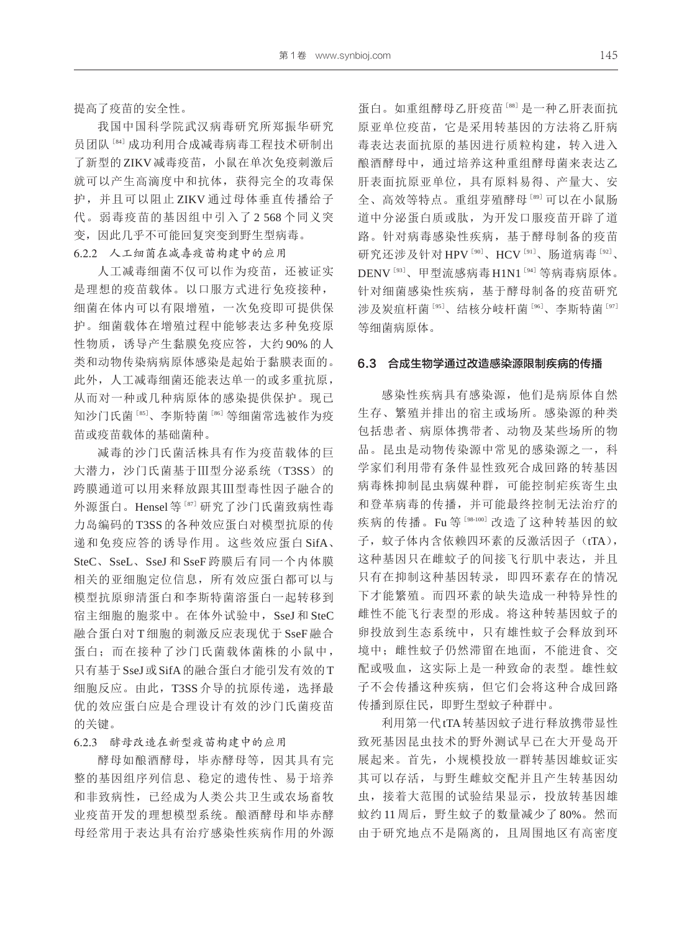提高了疫苗的安全性。

我国中国科学院武汉病毒研究所郑振华研究 员团队<sup>[84]</sup>成功利用合成减毒病毒工程技术研制出 了新型的ZIKV减毒疫苗,小鼠在单次免疫刺激后 就可以产生高滴度中和抗体,获得完全的攻毒保 护,并且可以阻止 ZIKV 通过母体垂直传播给子 代。弱毒疫苗的基因组中引入了 2 568 个同义突 变,因此几乎不可能回复突变到野生型病毒。 6.2.2 人工细菌在减毒疫苗构建中的应用

人工减毒细菌不仅可以作为疫苗,还被证实 是理想的疫苗载体。以口服方式进行免疫接种, 细菌在体内可以有限增殖,一次免疫即可提供保 护。细菌载体在增殖过程中能够表达多种免疫原 性物质,诱导产生黏膜免疫应答,大约 90% 的人 类和动物传染病病原体感染是起始于黏膜表面的。 此外,人工减毒细菌还能表达单一的或多重抗原, 从而对一种或几种病原体的感染提供保护。现已 知沙门氏菌 [85]、李斯特菌 [86] 等细菌常选被作为疫 苗或疫苗载体的基础菌种。

减毒的沙门氏菌活株具有作为疫苗载体的巨 大潜力, 沙门氏菌基于Ⅲ型分泌系统(T3SS)的 跨膜通道可以用来释放跟其Ⅲ型毒性因子融合的 外源蛋白。Hensel等<sup>[87]</sup>研究了沙门氏菌致病性毒 力岛编码的 T3SS 的各种效应蛋白对模型抗原的传 递和免疫应答的诱导作用。这些效应蛋白 SifA、 SteC、SseL、SseJ 和 SseF 跨膜后有同一个内体膜 相关的亚细胞定位信息,所有效应蛋白都可以与 模型抗原卵清蛋白和李斯特菌溶蛋白一起转移到 宿主细胞的胞浆中。在体外试验中,SseJ 和 SteC 融合蛋白对 T 细胞的刺激反应表现优于 SseF 融合 蛋白;而在接种了沙门氏菌载体菌株的小鼠中, 只有基于SseJ或SifA的融合蛋白才能引发有效的T 细胞反应。由此, T3SS 介导的抗原传递, 选择最 优的效应蛋白应是合理设计有效的沙门氏菌疫苗 的关键。

6.2.3 酵母改造在新型疫苗构建中的应用

酵母如酿酒酵母,毕赤酵母等,因其具有完 整的基因组序列信息、稳定的遗传性、易于培养 和非致病性,已经成为人类公共卫生或农场畜牧 业疫苗开发的理想模型系统。酿酒酵母和毕赤酵 母经常用于表达具有治疗感染性疾病作用的外源 蛋白。如重组酵母乙肝疫苗[88]是一种乙肝表面抗 原亚单位疫苗,它是采用转基因的方法将乙肝病 毒表达表面抗原的基因进行质粒构建,转入进入 酿酒酵母中,通过培养这种重组酵母菌来表达乙 肝表面抗原亚单位,具有原料易得、产量大、安 全、高效等特点。重组芽殖酵母[89]可以在小鼠肠 道中分泌蛋白质或肽,为开发口服疫苗开辟了道 路。针对病毒感染性疾病,基于酵母制备的疫苗 研究还涉及针对 HPV<sup>[90]</sup>、HCV<sup>[91]</sup>、肠道病毒<sup>[92]</sup>、 DENV<sup>[93]</sup>、甲型流感病毒 H1N1<sup>[94]</sup> 等病毒病原体。 针对细菌感染性疾病,基于酵母制备的疫苗研究 涉及炭疽杆菌[95]、结核分岐杆菌[96]、李斯特菌[97] 等细菌病原体。

#### 6.3 合成生物学通过改造感染源限制疾病的传播

感染性疾病具有感染源,他们是病原体自然 生存、繁殖并排出的宿主或场所。感染源的种类 包括患者、病原体携带者、动物及某些场所的物 品。昆虫是动物传染源中常见的感染源之一, 科 学家们利用带有条件显性致死合成回路的转基因 病毒株抑制昆虫病媒种群,可能控制疟疾寄生虫 和登革病毒的传播,并可能最终控制无法治疗的 疾病的传播。Fu 等[98-100] 改造了这种转基因的蚊 子,蚊子体内含依赖四环素的反激活因子(tTA), 这种基因只在雌蚊子的间接飞行肌中表达,并且 只有在抑制这种基因转录,即四环素存在的情况 下才能繁殖。而四环素的缺失造成一种特异性的 雌性不能飞行表型的形成。将这种转基因蚊子的 卵投放到生态系统中,只有雄性蚊子会释放到环 境中;雌性蚊子仍然滞留在地面,不能进食、交 配或吸血,这实际上是一种致命的表型。雄性蚊 子不会传播这种疾病,但它们会将这种合成回路 传播到原住民,即野生型蚊子种群中。

利用第一代tTA转基因蚊子进行释放携带显性 致死基因昆虫技术的野外测试早已在大开曼岛开 展起来。首先,小规模投放一群转基因雄蚊证实 其可以存活,与野生雌蚊交配并且产生转基因幼 虫,接着大范围的试验结果显示,投放转基因雄 蚊约 11 周后,野生蚊子的数量减少了 80%。然而 由于研究地点不是隔离的,且周围地区有高密度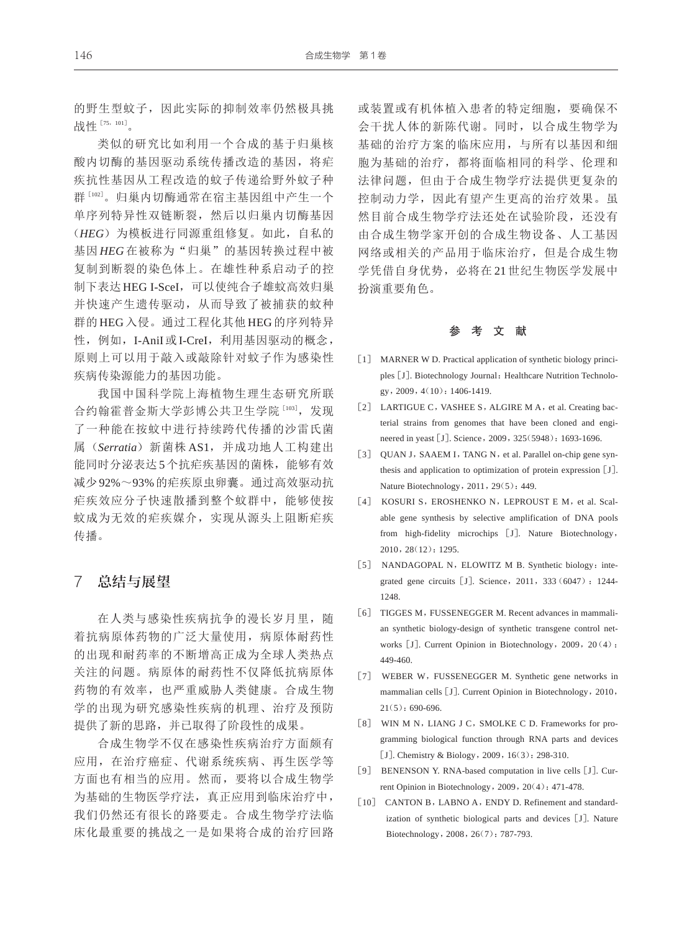的野生型蚊子,因此实际的抑制效率仍然极具挑 战性 [75,101]。

类似的研究比如利用一个合成的基于归巢核 酸内切酶的基因驱动系统传播改造的基因,将疟 疾抗性基因从工程改造的蚊子传递给野外蚊子种 群[102] 。归巢内切酶通常在宿主基因组中产生一个 单序列特异性双链断裂,然后以归巢内切酶基因 (*HEG*)为模板进行同源重组修复。如此,自私的 基因 HEG 在被称为"归巢"的基因转换过程中被 复制到断裂的染色体上。在雄性种系启动子的控 制下表达 HEG I-SceI, 可以使纯合子雄蚊高效归巢 并快速产生遗传驱动,从而导致了被捕获的蚊种 群的 HEG入侵。通过工程化其他 HEG的序列特异 性,例如, I-AniI或I-CreI, 利用基因驱动的概念, 原则上可以用于敲入或敲除针对蚊子作为感染性 疾病传染源能力的基因功能。

我国中国科学院上海植物生理生态研究所联 合约翰霍普金斯大学彭博公共卫生学院 [103], 发现 了一种能在按蚊中进行持续跨代传播的沙雷氏菌 属(*Serratia*)新菌株 AS1,并成功地人工构建出 能同时分泌表达5个抗疟疾基因的菌株,能够有效 减少92%~93%的疟疾原虫卵囊。通过高效驱动抗 疟疾效应分子快速散播到整个蚊群中,能够使按 蚊成为无效的疟疾媒介,实现从源头上阻断疟疾 传播。

#### 7 总结与展望

在人类与感染性疾病抗争的漫长岁月里, 随 着抗病原体药物的广泛大量使用,病原体耐药性 的出现和耐药率的不断增高正成为全球人类热点 关注的问题。病原体的耐药性不仅降低抗病原体 药物的有效率,也严重威胁人类健康。合成生物 学的出现为研究感染性疾病的机理、治疗及预防 提供了新的思路,并已取得了阶段性的成果。

合成生物学不仅在感染性疾病治疗方面颇有 应用,在治疗癌症、代谢系统疾病、再生医学等 方面也有相当的应用。然而,要将以合成生物学 为基础的生物医学疗法,真正应用到临床治疗中, 我们仍然还有很长的路要走。合成生物学疗法临 床化最重要的挑战之一是如果将合成的治疗回路

或装置或有机体植入患者的特定细胞,要确保不 会干扰人体的新陈代谢。同时,以合成生物学为 基础的治疗方案的临床应用,与所有以基因和细 胞为基础的治疗,都将面临相同的科学、伦理和 法律问题,但由于合成生物学疗法提供更复杂的 控制动力学,因此有望产生更高的治疗效果。虽 然目前合成生物学疗法还处在试验阶段,还没有 由合成生物学家开创的合成生物设备、人工基因 网络或相关的产品用于临床治疗,但是合成生物 学凭借自身优势,必将在 21 世纪生物医学发展中 扮演重要角色。

#### 参 考 文 献

- [1] MARNER W D. Practical application of synthetic biology principles [J]. Biotechnology Journal: Healthcare Nutrition Technology,2009,4(10):1406-1419.
- [2] LARTIGUE C, VASHEE S, ALGIRE M A, et al. Creating bacterial strains from genomes that have been cloned and engineered in yeast [J]. Science, 2009, 325(5948): 1693-1696.
- [3] QUAN J, SAAEM I, TANG N, et al. Parallel on-chip gene synthesis and application to optimization of protein expression [J]. Nature Biotechnology, 2011, 29(5): 449.
- [4] KOSURI S, EROSHENKO N, LEPROUST E M, et al. Scalable gene synthesis by selective amplification of DNA pools from high-fidelity microchips [J]. Nature Biotechnology, 2010,28(12):1295.
- [5] NANDAGOPAL N, ELOWITZ M B. Synthetic biology: integrated gene circuits [J]. Science, 2011, 333 (6047): 1244-1248.
- [6] TIGGES M, FUSSENEGGER M. Recent advances in mammalian synthetic biology-design of synthetic transgene control networks [J]. Current Opinion in Biotechnology, 2009, 20(4): 449-460.
- [7] WEBER W, FUSSENEGGER M. Synthetic gene networks in mammalian cells[J]. Current Opinion in Biotechnology,2010,  $21(5):690-696.$
- [8] WIN M N, LIANG J C, SMOLKE C D. Frameworks for programming biological function through RNA parts and devices [J]. Chemistry & Biology, 2009, 16(3): 298-310.
- [9] BENENSON Y. RNA-based computation in live cells [J]. Current Opinion in Biotechnology,2009,20(4):471-478.
- [10] CANTON B, LABNO A, ENDY D. Refinement and standardization of synthetic biological parts and devices [J]. Nature Biotechnology,2008,26(7):787-793.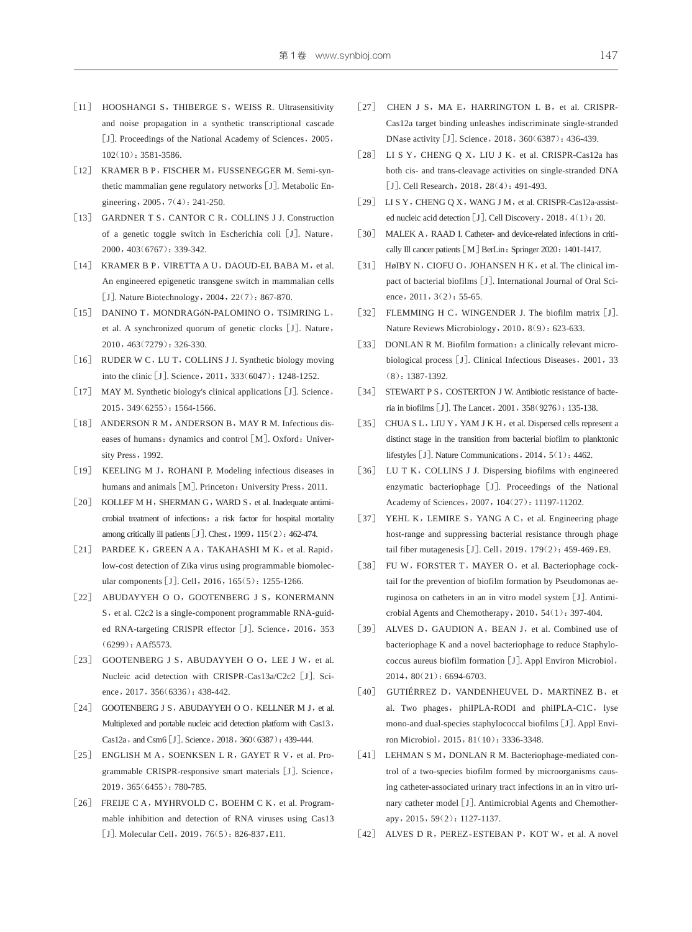- [11] HOOSHANGI S, THIBERGE S, WEISS R. Ultrasensitivity and noise propagation in a synthetic transcriptional cascade [J]. Proceedings of the National Academy of Sciences, 2005, 102(10):3581-3586.
- [12] KRAMER B P, FISCHER M, FUSSENEGGER M. Semi-synthetic mammalian gene regulatory networks [J]. Metabolic Engineering, 2005, 7(4): 241-250.
- [13] GARDNER T S, CANTOR C R, COLLINS J J. Construction of a genetic toggle switch in Escherichia coli[J]. Nature, 2000,403(6767):339-342.
- [14] KRAMER B P, VIRETTA A U, DAOUD-EL BABA M, et al. An engineered epigenetic transgene switch in mammalian cells [J]. Nature Biotechnology, 2004, 22(7): 867-870.
- [15] DANINO T, MONDRAGÓN-PALOMINO O, TSIMRING L, et al. A synchronized quorum of genetic clocks[J]. Nature, 2010,463(7279):326-330.
- [16] RUDER W C, LU T, COLLINS J J. Synthetic biology moving into the clinic [J]. Science, 2011, 333(6047): 1248-1252.
- [17] MAY M. Synthetic biology's clinical applications [J]. Science, 2015,349(6255):1564-1566.
- [18] ANDERSON R M, ANDERSON B, MAY R M. Infectious diseases of humans: dynamics and control [M]. Oxford: University Press, 1992.
- [19] KEELING M J, ROHANI P. Modeling infectious diseases in humans and animals [M]. Princeton: University Press, 2011.
- [20] KOLLEF M H, SHERMAN G, WARD S, et al. Inadequate antimicrobial treatment of infections: a risk factor for hospital mortality among critically ill patients [J]. Chest, 1999, 115(2): 462-474.
- [21] PARDEE K, GREEN A A, TAKAHASHI M K, et al. Rapid, low-cost detection of Zika virus using programmable biomolec‐ ular components [J]. Cell, 2016, 165(5): 1255-1266.
- [22] ABUDAYYEH O O, GOOTENBERG J S, KONERMANN S, et al. C2c2 is a single-component programmable RNA-guided RNA-targeting CRISPR effector [J]. Science, 2016, 353 (6299):AAf5573.
- [23] GOOTENBERG J S, ABUDAYYEH O O, LEE J W, et al. Nucleic acid detection with CRISPR-Cas13a/C2c2 [J]. Science, 2017, 356(6336): 438-442.
- [24] GOOTENBERG J S, ABUDAYYEH O O, KELLNER M J, et al. Multiplexed and portable nucleic acid detection platform with Cas13, Cas12a, and Csm6 [J]. Science, 2018, 360(6387): 439-444.
- [25] ENGLISH M A, SOENKSEN L R, GAYET R V, et al. Programmable CRISPR-responsive smart materials [J]. Science, 2019,365(6455):780-785.
- [26] FREIJE C A, MYHRVOLD C, BOEHM C K, et al. Programmable inhibition and detection of RNA viruses using Cas13 [J]. Molecular Cell, 2019, 76(5): 826-837, E11.
- [27] CHEN J S, MA E, HARRINGTON L B, et al. CRISPR-Cas12a target binding unleashes indiscriminate single-stranded DNase activity [J]. Science, 2018, 360(6387): 436-439.
- [28] LI S Y, CHENG Q X, LIU J K, et al. CRISPR-Cas12a has both cis- and trans-cleavage activities on single-stranded DNA [J]. Cell Research, 2018, 28(4): 491-493.
- [29] LI S Y, CHENG Q X, WANG J M, et al. CRISPR-Cas12a-assisted nucleic acid detection [J]. Cell Discovery, 2018, 4(1): 20.
- [30] MALEK A, RAAD I. Catheter- and device-related infections in critically Ill cancer patients [M] BerLin: Springer 2020: 1401-1417.
- [31] HøIBY N, CIOFU O, JOHANSEN H K, et al. The clinical impact of bacterial biofilms [J]. International Journal of Oral Science, 2011, 3(2): 55-65.
- [32] FLEMMING H C, WINGENDER J. The biofilm matrix [J]. Nature Reviews Microbiology, 2010, 8(9): 623-633.
- [33] DONLAN R M. Biofilm formation: a clinically relevant microbiological process [J]. Clinical Infectious Diseases, 2001, 33 (8):1387-1392.
- [34] STEWART P S, COSTERTON J W. Antibiotic resistance of bacteria in biofilms[J]. The Lancet,2001,358(9276):135-138.
- [35] CHUA S L, LIU Y, YAM J K H, et al. Dispersed cells represent a distinct stage in the transition from bacterial biofilm to planktonic lifestyles [J]. Nature Communications, 2014, 5(1): 4462.
- [36] LU T K, COLLINS J J. Dispersing biofilms with engineered enzymatic bacteriophage [J]. Proceedings of the National Academy of Sciences, 2007, 104(27): 11197-11202.
- [37] YEHL K, LEMIRE S, YANG A C, et al. Engineering phage host-range and suppressing bacterial resistance through phage tail fiber mutagenesis [J]. Cell, 2019, 179(2): 459-469, E9.
- [38] FU W, FORSTER T, MAYER O, et al. Bacteriophage cocktail for the prevention of biofilm formation by Pseudomonas aeruginosa on catheters in an in vitro model system[J]. Antimi‐ crobial Agents and Chemotherapy,2010,54(1):397-404.
- [39] ALVES D, GAUDION A, BEAN J, et al. Combined use of bacteriophage K and a novel bacteriophage to reduce Staphylo‐ coccus aureus biofilm formation[J]. Appl Environ Microbiol, 2014,80(21):6694-6703.
- [40] GUTIÉRREZ D, VANDENHEUVEL D, MARTÍNEZ B, et al. Two phages, phiIPLA-RODI and phiIPLA-C1C, lyse mono-and dual-species staphylococcal biofilms [J]. Appl Environ Microbiol,2015,81(10):3336-3348.
- [41] LEHMAN S M, DONLAN R M. Bacteriophage-mediated control of a two-species biofilm formed by microorganisms causing catheter-associated urinary tract infections in an in vitro urinary catheter model [J]. Antimicrobial Agents and Chemotherapy,2015,59(2):1127-1137.
- [42] ALVES D R, PEREZ-ESTEBAN P, KOT W, et al. A novel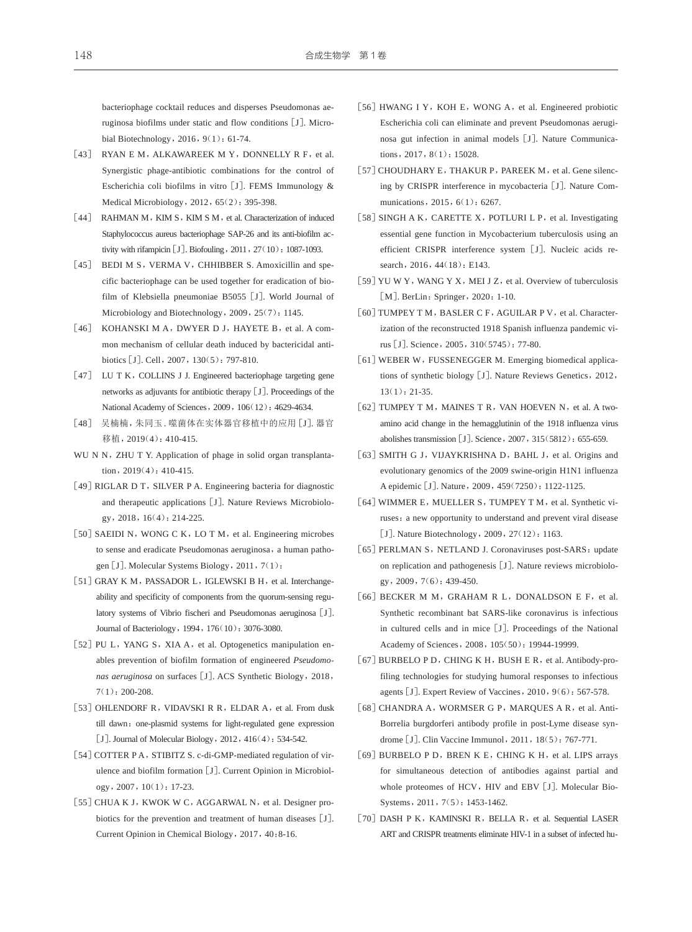bacteriophage cocktail reduces and disperses Pseudomonas ae‐ ruginosa biofilms under static and flow conditions [J]. Microbial Biotechnology, 2016, 9(1): 61-74.

- [43] RYAN E M, ALKAWAREEK M Y, DONNELLY R F, et al. Synergistic phage-antibiotic combinations for the control of Escherichia coli biofilms in vitro [J]. FEMS Immunology & Medical Microbiology, 2012, 65(2): 395-398.
- [44] RAHMAN M, KIM S, KIM S M, et al. Characterization of induced Staphylococcus aureus bacteriophage SAP-26 and its anti-biofilm activity with rifampicin [J]. Biofouling, 2011, 27(10): 1087-1093.
- [45] BEDI M S, VERMA V, CHHIBBER S. Amoxicillin and specific bacteriophage can be used together for eradication of bio‐ film of Klebsiella pneumoniae B5055[J]. World Journal of Microbiology and Biotechnology, 2009, 25(7): 1145.
- [46] KOHANSKI M A, DWYER D J, HAYETE B, et al. A common mechanism of cellular death induced by bactericidal antibiotics [J]. Cell, 2007, 130(5): 797-810.
- [47] LU T K, COLLINS J J. Engineered bacteriophage targeting gene networks as adjuvants for antibiotic therapy[J]. Proceedings of the National Academy of Sciences, 2009, 106(12): 4629-4634.
- [48] 吴楠楠,朱同玉. 噬菌体在实体器官移植中的应用[J]. 器官 移植,2019(4):410-415.
- WU N N, ZHU T Y. Application of phage in solid organ transplantation,2019(4):410-415.
- [49] RIGLAR D T, SILVER P A. Engineering bacteria for diagnostic and therapeutic applications [J]. Nature Reviews Microbiology,2018,16(4):214-225.
- [50] SAEIDI N, WONG C K, LO T M, et al. Engineering microbes to sense and eradicate Pseudomonas aeruginosa, a human pathogen [J]. Molecular Systems Biology, 2011, 7(1):
- [51] GRAY K M, PASSADOR L, IGLEWSKI B H, et al. Interchangeability and specificity of components from the quorum-sensing regulatory systems of Vibrio fischeri and Pseudomonas aeruginosa [J]. Journal of Bacteriology,1994,176(10):3076-3080.
- [52] PU L, YANG S, XIA A, et al. Optogenetics manipulation enables prevention of biofilm formation of engineered *Pseudomo‐* nas aeruginosa on surfaces [J]. ACS Synthetic Biology, 2018, 7(1):200-208.
- [53] OHLENDORF R, VIDAVSKI R R, ELDAR A, et al. From dusk till dawn: one-plasmid systems for light-regulated gene expression [J]. Journal of Molecular Biology, 2012, 416(4): 534-542.
- [54] COTTER P A, STIBITZ S. c-di-GMP-mediated regulation of virulence and biofilm formation [J]. Current Opinion in Microbiology,2007,10(1):17-23.
- [55] CHUA K J, KWOK W C, AGGARWAL N, et al. Designer probiotics for the prevention and treatment of human diseases [J]. Current Opinion in Chemical Biology,2017,40:8-16.
- [56] HWANG I Y, KOH E, WONG A, et al. Engineered probiotic Escherichia coli can eliminate and prevent Pseudomonas aeruginosa gut infection in animal models [J]. Nature Communications, 2017, 8(1): 15028.
- [57] CHOUDHARY E, THAKUR P, PAREEK M, et al. Gene silencing by CRISPR interference in mycobacteria [J]. Nature Communications, 2015, 6(1): 6267.
- [58] SINGH A K, CARETTE X, POTLURI L P, et al. Investigating essential gene function in Mycobacterium tuberculosis using an efficient CRISPR interference system [J]. Nucleic acids research, 2016, 44(18): E143.
- [59] YU W Y, WANG Y X, MEI J Z, et al. Overview of tuberculosis [M]. BerLin: Springer, 2020: 1-10.
- [60] TUMPEY T M, BASLER C F, AGUILAR P V, et al. Characterization of the reconstructed 1918 Spanish influenza pandemic virus[J]. Science,2005,310(5745):77-80.
- [61] WEBER W, FUSSENEGGER M. Emerging biomedical applications of synthetic biology [J]. Nature Reviews Genetics, 2012,  $13(1): 21-35$ .
- $\lceil 62 \rceil$  TUMPEY T M, MAINES T R, VAN HOEVEN N, et al. A twoamino acid change in the hemagglutinin of the 1918 influenza virus abolishes transmission [J]. Science, 2007, 315(5812): 655-659.
- [63] SMITH G J, VIJAYKRISHNA D, BAHL J, et al. Origins and evolutionary genomics of the 2009 swine-origin H1N1 influenza A epidemic[J]. Nature,2009,459(7250):1122-1125.
- [64] WIMMER E, MUELLER S, TUMPEY T M, et al. Synthetic viruses: a new opportunity to understand and prevent viral disease [J]. Nature Biotechnology, 2009, 27(12): 1163.
- [65] PERLMAN S, NETLAND J. Coronaviruses post-SARS: update on replication and pathogenesis [J]. Nature reviews microbiology,2009,7(6):439-450.
- [66] BECKER M M, GRAHAM R L, DONALDSON E F, et al. Synthetic recombinant bat SARS-like coronavirus is infectious in cultured cells and in mice[J]. Proceedings of the National Academy of Sciences,2008,105(50):19944-19999.
- [67] BURBELO P D, CHING K H, BUSH E R, et al. Antibody-profiling technologies for studying humoral responses to infectious agents [J]. Expert Review of Vaccines, 2010, 9(6): 567-578.
- [68] CHANDRA A, WORMSER G P, MARQUES A R, et al. Anti-Borrelia burgdorferi antibody profile in post-Lyme disease syn‐ drome [J]. Clin Vaccine Immunol, 2011, 18(5): 767-771.
- [69] BURBELO P D, BREN K E, CHING K H, et al. LIPS arrays for simultaneous detection of antibodies against partial and whole proteomes of HCV, HIV and EBV [J]. Molecular Bio-Systems, 2011, 7(5): 1453-1462.
- [70] DASH P K, KAMINSKI R, BELLA R, et al. Sequential LASER ART and CRISPR treatments eliminate HIV-1 in a subset of infected hu-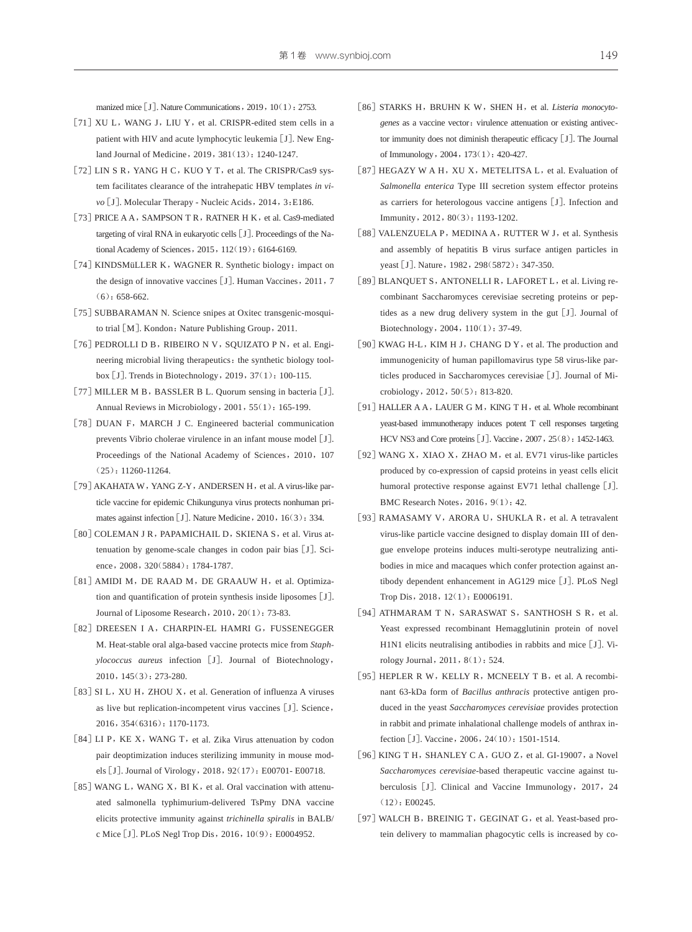manized mice [J]. Nature Communications, 2019, 10(1): 2753.

- [71] XU L, WANG J, LIU Y, et al. CRISPR-edited stem cells in a patient with HIV and acute lymphocytic leukemia [J]. New England Journal of Medicine,2019,381(13):1240-1247.
- [72] LIN S R, YANG H C, KUO Y T, et al. The CRISPR/Cas9 system facilitates clearance of the intrahepatic HBV templates *in vi‐* vo<sup>[J]</sup>. Molecular Therapy - Nucleic Acids, 2014, 3:E186.
- [73] PRICE A A, SAMPSON T R, RATNER H K, et al. Cas9-mediated targeting of viral RNA in eukaryotic cells [J]. Proceedings of the National Academy of Sciences, 2015, 112(19): 6164-6169.
- [74] KINDSMüLLER K, WAGNER R. Synthetic biology: impact on the design of innovative vaccines [J]. Human Vaccines, 2011, 7 (6):658-662.
- [75] SUBBARAMAN N. Science snipes at Oxitec transgenic-mosquito trial [M]. Kondon: Nature Publishing Group, 2011.
- [76] PEDROLLI D B, RIBEIRO N V, SQUIZATO P N, et al. Engineering microbial living therapeutics: the synthetic biology toolbox[J]. Trends in Biotechnology,2019,37(1):100-115.
- [77] MILLER M B, BASSLER B L. Quorum sensing in bacteria [J]. Annual Reviews in Microbiology, 2001, 55(1): 165-199.
- [78] DUAN F, MARCH J C. Engineered bacterial communication prevents Vibrio cholerae virulence in an infant mouse model [J]. Proceedings of the National Academy of Sciences, 2010, 107 (25):11260-11264.
- [79] AKAHATA W, YANG Z-Y, ANDERSEN H, et al. A virus-like particle vaccine for epidemic Chikungunya virus protects nonhuman pri‐ mates against infection [J]. Nature Medicine, 2010, 16(3): 334.
- [80] COLEMAN J R, PAPAMICHAIL D, SKIENA S, et al. Virus attenuation by genome-scale changes in codon pair bias [J]. Science, 2008, 320(5884): 1784-1787.
- [81] AMIDI M, DE RAAD M, DE GRAAUW H, et al. Optimization and quantification of protein synthesis inside liposomes[J]. Journal of Liposome Research,2010,20(1):73-83.
- [82] DREESEN I A, CHARPIN-EL HAMRI G, FUSSENEGGER M. Heat-stable oral alga-based vaccine protects mice from *Staph‐ ylococcus aureus* infection [J]. Journal of Biotechnology, 2010,145(3):273-280.
- [83] SI L, XU H, ZHOU X, et al. Generation of influenza A viruses as live but replication-incompetent virus vaccines [J]. Science, 2016,354(6316):1170-1173.
- [84] LI P, KE X, WANG T, et al. Zika Virus attenuation by codon pair deoptimization induces sterilizing immunity in mouse models[J]. Journal of Virology,2018,92(17):E00701- E00718.
- [85] WANG L, WANG X, BI K, et al. Oral vaccination with attenuated salmonella typhimurium-delivered TsPmy DNA vaccine elicits protective immunity against *trichinella spiralis* in BALB/ c Mice[J]. PLoS Negl Trop Dis,2016,10(9):E0004952.
- [86] STARKS H, BRUHN K W, SHEN H, et al. *Listeria monocytogenes* as a vaccine vector: virulence attenuation or existing antivector immunity does not diminish therapeutic efficacy[J]. The Journal of Immunology,2004,173(1):420-427.
- [87] HEGAZY W A H, XU X, METELITSA L, et al. Evaluation of *Salmonella enterica* Type III secretion system effector proteins as carriers for heterologous vaccine antigens[J]. Infection and Immunity,2012,80(3):1193-1202.
- [88] VALENZUELA P, MEDINA A, RUTTER W J, et al. Synthesis and assembly of hepatitis B virus surface antigen particles in yeast [J]. Nature, 1982, 298(5872): 347-350.
- [89] BLANQUET S, ANTONELLI R, LAFORET L, et al. Living recombinant Saccharomyces cerevisiae secreting proteins or pep‐ tides as a new drug delivery system in the gut[J]. Journal of Biotechnology,2004,110(1):37-49.
- [90] KWAG H-L, KIM H J, CHANG D Y, et al. The production and immunogenicity of human papillomavirus type 58 virus-like par‐ ticles produced in Saccharomyces cerevisiae [J]. Journal of Microbiology,2012,50(5):813-820.
- [91] HALLER A A, LAUER G M, KING T H, et al. Whole recombinant yeast-based immunotherapy induces potent T cell responses targeting HCV NS3 and Core proteins [J]. Vaccine, 2007, 25(8): 1452-1463.
- [92] WANG X, XIAO X, ZHAO M, et al. EV71 virus-like particles produced by co-expression of capsid proteins in yeast cells elicit humoral protective response against EV71 lethal challenge [J]. BMC Research Notes, 2016, 9(1): 42.
- [93] RAMASAMY V, ARORA U, SHUKLA R, et al. A tetravalent virus-like particle vaccine designed to display domain III of den‐ gue envelope proteins induces multi-serotype neutralizing anti‐ bodies in mice and macaques which confer protection against antibody dependent enhancement in AG129 mice [J]. PLoS Negl Trop Dis,2018,12(1):E0006191.
- [94] ATHMARAM T N, SARASWAT S, SANTHOSH S R, et al. Yeast expressed recombinant Hemagglutinin protein of novel H1N1 elicits neutralising antibodies in rabbits and mice [J]. Virology Journal,2011,8(1):524.
- [95] HEPLER R W, KELLY R, MCNEELY T B, et al. A recombinant 63-kDa form of *Bacillus anthracis* protective antigen pro‐ duced in the yeast *Saccharomyces cerevisiae* provides protection in rabbit and primate inhalational challenge models of anthrax in‐ fection [J]. Vaccine, 2006, 24(10): 1501-1514.
- [96] KING T H, SHANLEY C A, GUO Z, et al. GI-19007, a Novel *Saccharomyces cerevisiae*-based therapeutic vaccine against tu‐ berculosis [J]. Clinical and Vaccine Immunology, 2017, 24  $(12) \cdot$  E00245.
- [97] WALCH B, BREINIG T, GEGINAT G, et al. Yeast-based protein delivery to mammalian phagocytic cells is increased by co-